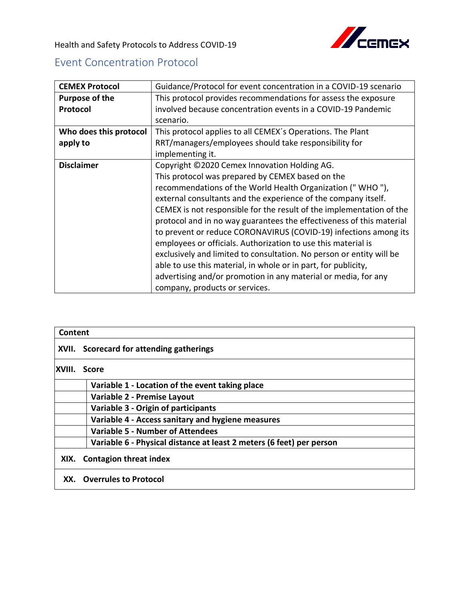

Health and Safety Protocols to Address COVID-19

## Event Concentration Protocol

| <b>CEMEX Protocol</b>  | Guidance/Protocol for event concentration in a COVID-19 scenario     |  |  |  |  |  |  |  |
|------------------------|----------------------------------------------------------------------|--|--|--|--|--|--|--|
| <b>Purpose of the</b>  | This protocol provides recommendations for assess the exposure       |  |  |  |  |  |  |  |
| Protocol               | involved because concentration events in a COVID-19 Pandemic         |  |  |  |  |  |  |  |
|                        | scenario.                                                            |  |  |  |  |  |  |  |
| Who does this protocol | This protocol applies to all CEMEX's Operations. The Plant           |  |  |  |  |  |  |  |
| apply to               | RRT/managers/employees should take responsibility for                |  |  |  |  |  |  |  |
|                        | implementing it.                                                     |  |  |  |  |  |  |  |
| <b>Disclaimer</b>      | Copyright ©2020 Cemex Innovation Holding AG.                         |  |  |  |  |  |  |  |
|                        | This protocol was prepared by CEMEX based on the                     |  |  |  |  |  |  |  |
|                        | recommendations of the World Health Organization ("WHO"),            |  |  |  |  |  |  |  |
|                        | external consultants and the experience of the company itself.       |  |  |  |  |  |  |  |
|                        | CEMEX is not responsible for the result of the implementation of the |  |  |  |  |  |  |  |
|                        | protocol and in no way guarantees the effectiveness of this material |  |  |  |  |  |  |  |
|                        | to prevent or reduce CORONAVIRUS (COVID-19) infections among its     |  |  |  |  |  |  |  |
|                        | employees or officials. Authorization to use this material is        |  |  |  |  |  |  |  |
|                        | exclusively and limited to consultation. No person or entity will be |  |  |  |  |  |  |  |
|                        | able to use this material, in whole or in part, for publicity,       |  |  |  |  |  |  |  |
|                        | advertising and/or promotion in any material or media, for any       |  |  |  |  |  |  |  |
|                        | company, products or services.                                       |  |  |  |  |  |  |  |

| Content |                                                                      |  |  |  |  |
|---------|----------------------------------------------------------------------|--|--|--|--|
|         | XVII. Scorecard for attending gatherings                             |  |  |  |  |
| XVIII.  | Score                                                                |  |  |  |  |
|         | Variable 1 - Location of the event taking place                      |  |  |  |  |
|         | Variable 2 - Premise Layout                                          |  |  |  |  |
|         | <b>Variable 3 - Origin of participants</b>                           |  |  |  |  |
|         | Variable 4 - Access sanitary and hygiene measures                    |  |  |  |  |
|         | <b>Variable 5 - Number of Attendees</b>                              |  |  |  |  |
|         | Variable 6 - Physical distance at least 2 meters (6 feet) per person |  |  |  |  |
|         | XIX. Contagion threat index                                          |  |  |  |  |
| XX.     | <b>Overrules to Protocol</b>                                         |  |  |  |  |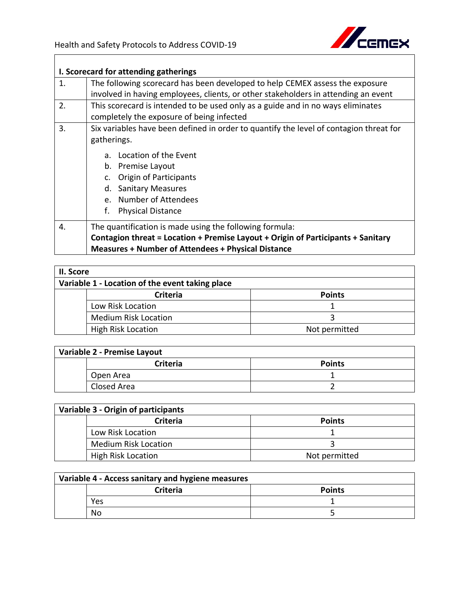

|                  | I. Scorecard for attending gatherings                                                  |  |  |  |  |  |  |  |  |  |
|------------------|----------------------------------------------------------------------------------------|--|--|--|--|--|--|--|--|--|
| 1.               | The following scorecard has been developed to help CEMEX assess the exposure           |  |  |  |  |  |  |  |  |  |
|                  | involved in having employees, clients, or other stakeholders in attending an event     |  |  |  |  |  |  |  |  |  |
| 2.               | This scorecard is intended to be used only as a guide and in no ways eliminates        |  |  |  |  |  |  |  |  |  |
|                  | completely the exposure of being infected                                              |  |  |  |  |  |  |  |  |  |
| 3.               | Six variables have been defined in order to quantify the level of contagion threat for |  |  |  |  |  |  |  |  |  |
|                  | gatherings.                                                                            |  |  |  |  |  |  |  |  |  |
|                  | a. Location of the Event                                                               |  |  |  |  |  |  |  |  |  |
|                  | b. Premise Layout                                                                      |  |  |  |  |  |  |  |  |  |
|                  | Origin of Participants                                                                 |  |  |  |  |  |  |  |  |  |
|                  | d. Sanitary Measures                                                                   |  |  |  |  |  |  |  |  |  |
|                  | e. Number of Attendees                                                                 |  |  |  |  |  |  |  |  |  |
|                  | f.<br><b>Physical Distance</b>                                                         |  |  |  |  |  |  |  |  |  |
| $\overline{4}$ . | The quantification is made using the following formula:                                |  |  |  |  |  |  |  |  |  |
|                  | Contagion threat = Location + Premise Layout + Origin of Participants + Sanitary       |  |  |  |  |  |  |  |  |  |
|                  | <b>Measures + Number of Attendees + Physical Distance</b>                              |  |  |  |  |  |  |  |  |  |

| II. Score                                       |                             |               |  |  |
|-------------------------------------------------|-----------------------------|---------------|--|--|
| Variable 1 - Location of the event taking place |                             |               |  |  |
|                                                 | <b>Criteria</b>             | <b>Points</b> |  |  |
|                                                 | Low Risk Location           |               |  |  |
|                                                 | <b>Medium Risk Location</b> |               |  |  |
|                                                 | <b>High Risk Location</b>   | Not permitted |  |  |

| Variable 2 - Premise Layout |                 |               |  |  |  |
|-----------------------------|-----------------|---------------|--|--|--|
|                             | <b>Criteria</b> | <b>Points</b> |  |  |  |
|                             | Open Area       |               |  |  |  |
|                             | Closed Area     |               |  |  |  |

| Variable 3 - Origin of participants |               |  |  |  |  |  |
|-------------------------------------|---------------|--|--|--|--|--|
| <b>Criteria</b>                     | <b>Points</b> |  |  |  |  |  |
| Low Risk Location                   |               |  |  |  |  |  |
| <b>Medium Risk Location</b>         |               |  |  |  |  |  |
| <b>High Risk Location</b>           | Not permitted |  |  |  |  |  |

| Variable 4 - Access sanitary and hygiene measures |                 |               |  |  |  |  |
|---------------------------------------------------|-----------------|---------------|--|--|--|--|
|                                                   | <b>Criteria</b> | <b>Points</b> |  |  |  |  |
|                                                   | Yes             |               |  |  |  |  |
|                                                   | Nο              |               |  |  |  |  |